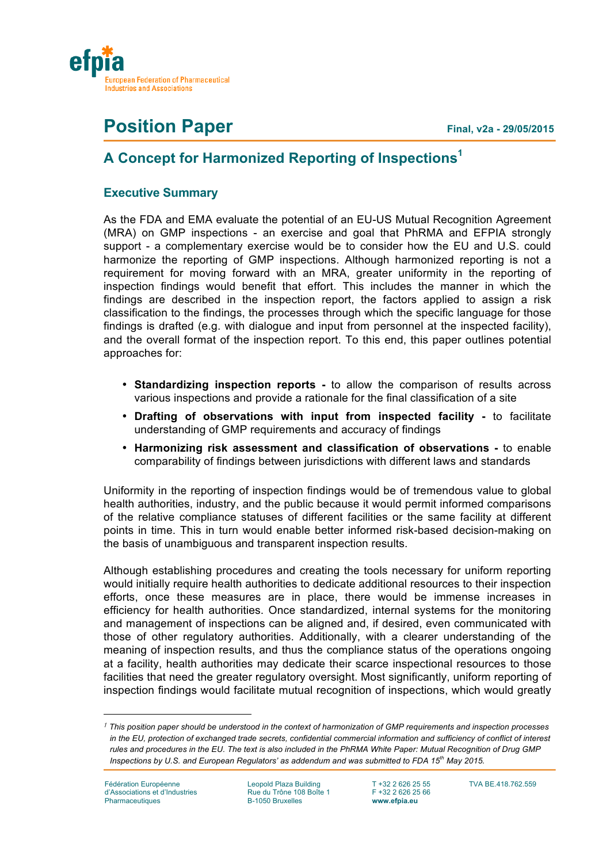

# **Position Paper Final, v2a - 29/05/2015**

# **A Concept for Harmonized Reporting of Inspections1**

# **Executive Summary**

As the FDA and EMA evaluate the potential of an EU-US Mutual Recognition Agreement (MRA) on GMP inspections - an exercise and goal that PhRMA and EFPIA strongly support - a complementary exercise would be to consider how the EU and U.S. could harmonize the reporting of GMP inspections. Although harmonized reporting is not a requirement for moving forward with an MRA, greater uniformity in the reporting of inspection findings would benefit that effort. This includes the manner in which the findings are described in the inspection report, the factors applied to assign a risk classification to the findings, the processes through which the specific language for those findings is drafted (e.g. with dialogue and input from personnel at the inspected facility), and the overall format of the inspection report. To this end, this paper outlines potential approaches for:

- **Standardizing inspection reports -** to allow the comparison of results across various inspections and provide a rationale for the final classification of a site
- **Drafting of observations with input from inspected facility -** to facilitate understanding of GMP requirements and accuracy of findings
- **Harmonizing risk assessment and classification of observations -** to enable comparability of findings between jurisdictions with different laws and standards

Uniformity in the reporting of inspection findings would be of tremendous value to global health authorities, industry, and the public because it would permit informed comparisons of the relative compliance statuses of different facilities or the same facility at different points in time. This in turn would enable better informed risk-based decision-making on the basis of unambiguous and transparent inspection results.

Although establishing procedures and creating the tools necessary for uniform reporting would initially require health authorities to dedicate additional resources to their inspection efforts, once these measures are in place, there would be immense increases in efficiency for health authorities. Once standardized, internal systems for the monitoring and management of inspections can be aligned and, if desired, even communicated with those of other regulatory authorities. Additionally, with a clearer understanding of the meaning of inspection results, and thus the compliance status of the operations ongoing at a facility, health authorities may dedicate their scarce inspectional resources to those facilities that need the greater regulatory oversight. Most significantly, uniform reporting of inspection findings would facilitate mutual recognition of inspections, which would greatly

i<br>Li

*<sup>1</sup> This position paper should be understood in the context of harmonization of GMP requirements and inspection processes in the EU, protection of exchanged trade secrets, confidential commercial information and sufficiency of conflict of interest rules and procedures in the EU. The text is also included in the PhRMA White Paper: Mutual Recognition of Drug GMP Inspections by U.S. and European Regulators' as addendum and was submitted to FDA 15th May 2015.*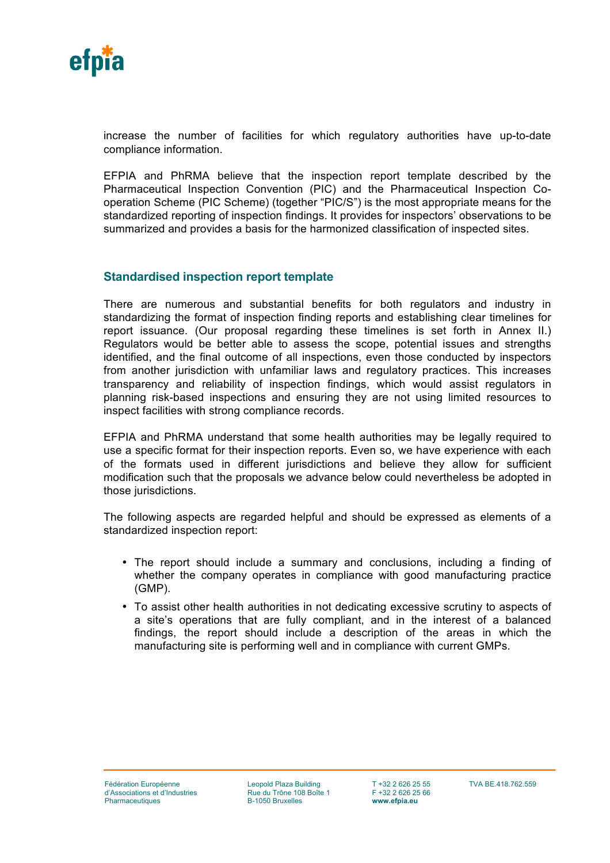

increase the number of facilities for which regulatory authorities have up-to-date compliance information.

EFPIA and PhRMA believe that the inspection report template described by the Pharmaceutical Inspection Convention (PIC) and the Pharmaceutical Inspection Cooperation Scheme (PIC Scheme) (together "PIC/S") is the most appropriate means for the standardized reporting of inspection findings. It provides for inspectors' observations to be summarized and provides a basis for the harmonized classification of inspected sites.

#### **Standardised inspection report template**

There are numerous and substantial benefits for both regulators and industry in standardizing the format of inspection finding reports and establishing clear timelines for report issuance. (Our proposal regarding these timelines is set forth in Annex II.) Regulators would be better able to assess the scope, potential issues and strengths identified, and the final outcome of all inspections, even those conducted by inspectors from another jurisdiction with unfamiliar laws and regulatory practices. This increases transparency and reliability of inspection findings, which would assist regulators in planning risk-based inspections and ensuring they are not using limited resources to inspect facilities with strong compliance records.

EFPIA and PhRMA understand that some health authorities may be legally required to use a specific format for their inspection reports. Even so, we have experience with each of the formats used in different jurisdictions and believe they allow for sufficient modification such that the proposals we advance below could nevertheless be adopted in those jurisdictions.

The following aspects are regarded helpful and should be expressed as elements of a standardized inspection report:

- The report should include a summary and conclusions, including a finding of whether the company operates in compliance with good manufacturing practice (GMP).
- To assist other health authorities in not dedicating excessive scrutiny to aspects of a site's operations that are fully compliant, and in the interest of a balanced findings, the report should include a description of the areas in which the manufacturing site is performing well and in compliance with current GMPs.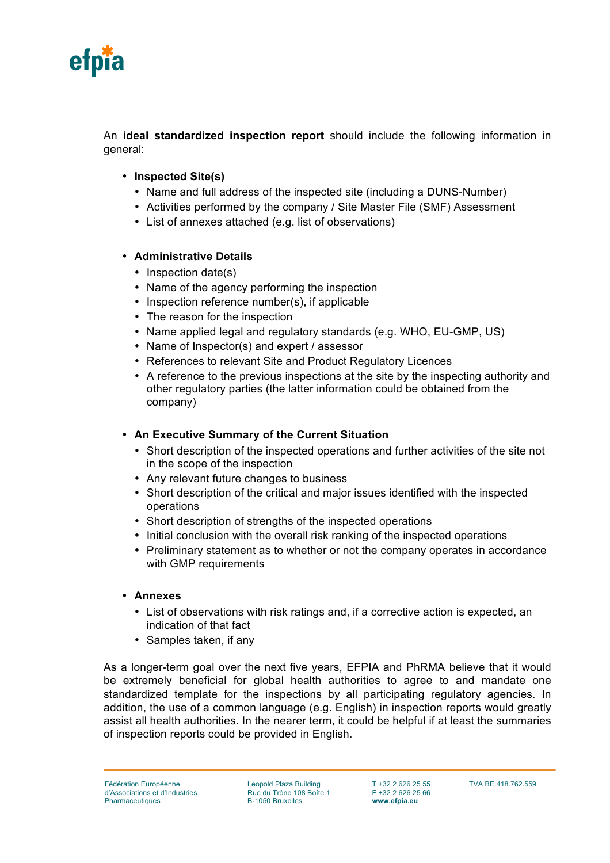

An **ideal standardized inspection report** should include the following information in general:

- **Inspected Site(s)**
	- Name and full address of the inspected site (including a DUNS-Number)
	- Activities performed by the company / Site Master File (SMF) Assessment
	- List of annexes attached (e.g. list of observations)

#### • **Administrative Details**

- Inspection date(s)
- Name of the agency performing the inspection
- Inspection reference number(s), if applicable
- The reason for the inspection
- Name applied legal and regulatory standards (e.g. WHO, EU-GMP, US)
- Name of Inspector(s) and expert / assessor
- References to relevant Site and Product Regulatory Licences
- A reference to the previous inspections at the site by the inspecting authority and other regulatory parties (the latter information could be obtained from the company)

#### • **An Executive Summary of the Current Situation**

- Short description of the inspected operations and further activities of the site not in the scope of the inspection
- Any relevant future changes to business
- Short description of the critical and major issues identified with the inspected operations
- Short description of strengths of the inspected operations
- Initial conclusion with the overall risk ranking of the inspected operations
- Preliminary statement as to whether or not the company operates in accordance with GMP requirements

#### • **Annexes**

- List of observations with risk ratings and, if a corrective action is expected, an indication of that fact
- Samples taken, if any

As a longer-term goal over the next five years, EFPIA and PhRMA believe that it would be extremely beneficial for global health authorities to agree to and mandate one standardized template for the inspections by all participating regulatory agencies. In addition, the use of a common language (e.g. English) in inspection reports would greatly assist all health authorities. In the nearer term, it could be helpful if at least the summaries of inspection reports could be provided in English.

Leopold Plaza Building Rue du Trône 108 Boîte 1 B-1050 Bruxelles

T +32 2 626 25 55 F +32 2 626 25 66 **www.efpia.eu**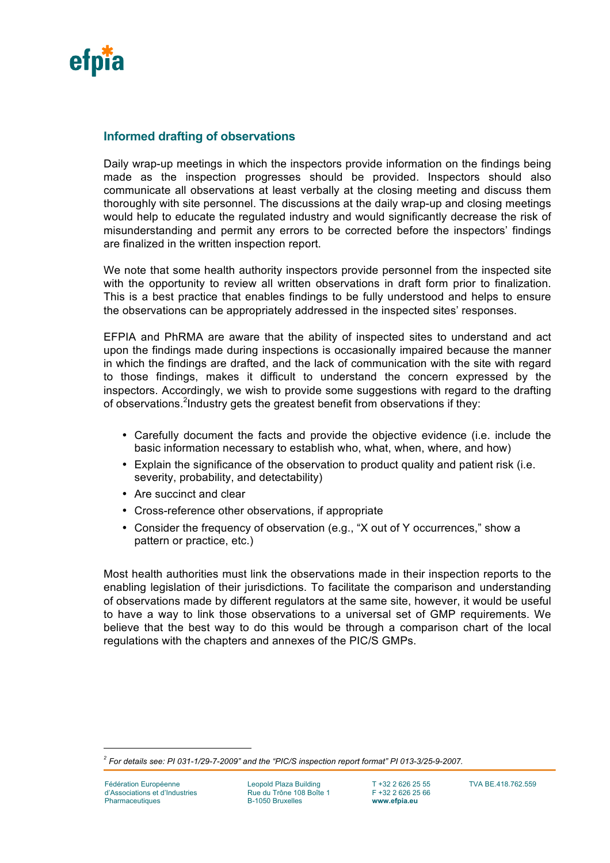

### **Informed drafting of observations**

Daily wrap-up meetings in which the inspectors provide information on the findings being made as the inspection progresses should be provided. Inspectors should also communicate all observations at least verbally at the closing meeting and discuss them thoroughly with site personnel. The discussions at the daily wrap-up and closing meetings would help to educate the regulated industry and would significantly decrease the risk of misunderstanding and permit any errors to be corrected before the inspectors' findings are finalized in the written inspection report.

We note that some health authority inspectors provide personnel from the inspected site with the opportunity to review all written observations in draft form prior to finalization. This is a best practice that enables findings to be fully understood and helps to ensure the observations can be appropriately addressed in the inspected sites' responses.

EFPIA and PhRMA are aware that the ability of inspected sites to understand and act upon the findings made during inspections is occasionally impaired because the manner in which the findings are drafted, and the lack of communication with the site with regard to those findings, makes it difficult to understand the concern expressed by the inspectors. Accordingly, we wish to provide some suggestions with regard to the drafting of observations. <sup>2</sup>Industry gets the greatest benefit from observations if they:

- Carefully document the facts and provide the objective evidence (i.e. include the basic information necessary to establish who, what, when, where, and how)
- Explain the significance of the observation to product quality and patient risk (i.e. severity, probability, and detectability)
- Are succinct and clear
- Cross-reference other observations, if appropriate
- Consider the frequency of observation (e.g., "X out of Y occurrences," show a pattern or practice, etc.)

Most health authorities must link the observations made in their inspection reports to the enabling legislation of their jurisdictions. To facilitate the comparison and understanding of observations made by different regulators at the same site, however, it would be useful to have a way to link those observations to a universal set of GMP requirements. We believe that the best way to do this would be through a comparison chart of the local regulations with the chapters and annexes of the PIC/S GMPs.

i

*<sup>2</sup> For details see: PI 031-1/29-7-2009" and the "PIC/S inspection report format" PI 013-3/25-9-2007.*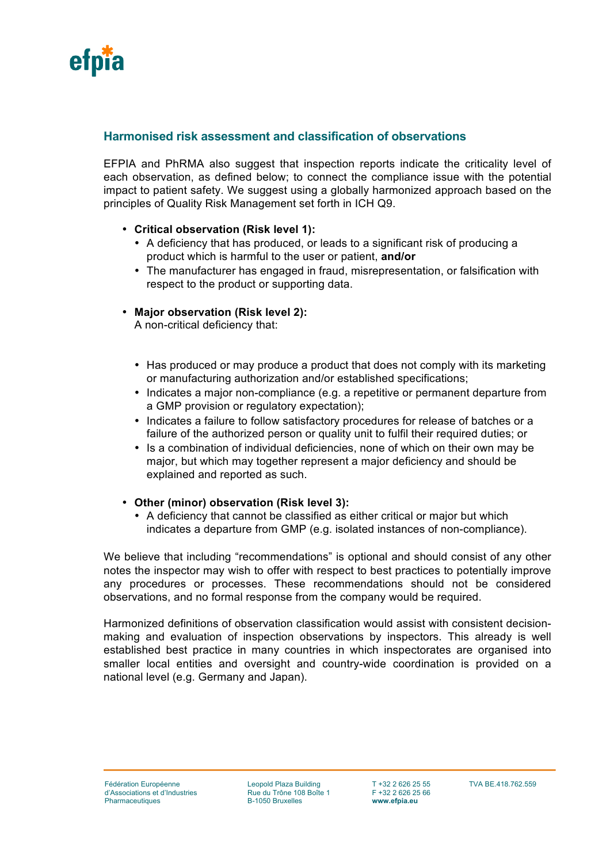

### **Harmonised risk assessment and classification of observations**

EFPIA and PhRMA also suggest that inspection reports indicate the criticality level of each observation, as defined below; to connect the compliance issue with the potential impact to patient safety. We suggest using a globally harmonized approach based on the principles of Quality Risk Management set forth in ICH Q9.

- **Critical observation (Risk level 1):**
	- A deficiency that has produced, or leads to a significant risk of producing a product which is harmful to the user or patient, **and/or**
	- The manufacturer has engaged in fraud, misrepresentation, or falsification with respect to the product or supporting data.
- **Major observation (Risk level 2):**

A non-critical deficiency that:

- Has produced or may produce a product that does not comply with its marketing or manufacturing authorization and/or established specifications;
- Indicates a major non-compliance (e.g. a repetitive or permanent departure from a GMP provision or regulatory expectation);
- Indicates a failure to follow satisfactory procedures for release of batches or a failure of the authorized person or quality unit to fulfil their required duties; or
- Is a combination of individual deficiencies, none of which on their own may be major, but which may together represent a major deficiency and should be explained and reported as such.

#### • **Other (minor) observation (Risk level 3):**

• A deficiency that cannot be classified as either critical or major but which indicates a departure from GMP (e.g. isolated instances of non-compliance).

We believe that including "recommendations" is optional and should consist of any other notes the inspector may wish to offer with respect to best practices to potentially improve any procedures or processes. These recommendations should not be considered observations, and no formal response from the company would be required.

Harmonized definitions of observation classification would assist with consistent decisionmaking and evaluation of inspection observations by inspectors. This already is well established best practice in many countries in which inspectorates are organised into smaller local entities and oversight and country-wide coordination is provided on a national level (e.g. Germany and Japan).

Leopold Plaza Building Rue du Trône 108 Boîte 1 B-1050 Bruxelles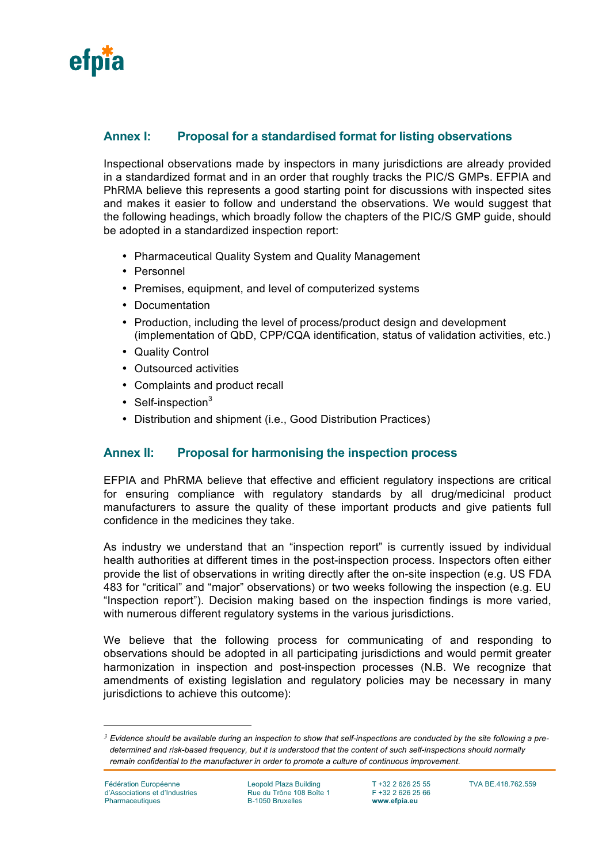

# **Annex I: Proposal for a standardised format for listing observations**

Inspectional observations made by inspectors in many jurisdictions are already provided in a standardized format and in an order that roughly tracks the PIC/S GMPs. EFPIA and PhRMA believe this represents a good starting point for discussions with inspected sites and makes it easier to follow and understand the observations. We would suggest that the following headings, which broadly follow the chapters of the PIC/S GMP guide, should be adopted in a standardized inspection report:

- Pharmaceutical Quality System and Quality Management
- Personnel
- Premises, equipment, and level of computerized systems
- Documentation
- Production, including the level of process/product design and development (implementation of QbD, CPP/CQA identification, status of validation activities, etc.)
- Quality Control
- Outsourced activities
- Complaints and product recall
- Self-inspection $3$
- Distribution and shipment (i.e., Good Distribution Practices)

## **Annex II: Proposal for harmonising the inspection process**

EFPIA and PhRMA believe that effective and efficient regulatory inspections are critical for ensuring compliance with regulatory standards by all drug/medicinal product manufacturers to assure the quality of these important products and give patients full confidence in the medicines they take.

As industry we understand that an "inspection report" is currently issued by individual health authorities at different times in the post-inspection process. Inspectors often either provide the list of observations in writing directly after the on-site inspection (e.g. US FDA 483 for "critical" and "major" observations) or two weeks following the inspection (e.g. EU "Inspection report"). Decision making based on the inspection findings is more varied, with numerous different regulatory systems in the various jurisdictions.

We believe that the following process for communicating of and responding to observations should be adopted in all participating jurisdictions and would permit greater harmonization in inspection and post-inspection processes (N.B. We recognize that amendments of existing legislation and regulatory policies may be necessary in many jurisdictions to achieve this outcome):

i

*<sup>3</sup> Evidence should be available during an inspection to show that self-inspections are conducted by the site following a predetermined and risk-based frequency, but it is understood that the content of such self-inspections should normally remain confidential to the manufacturer in order to promote a culture of continuous improvement.*